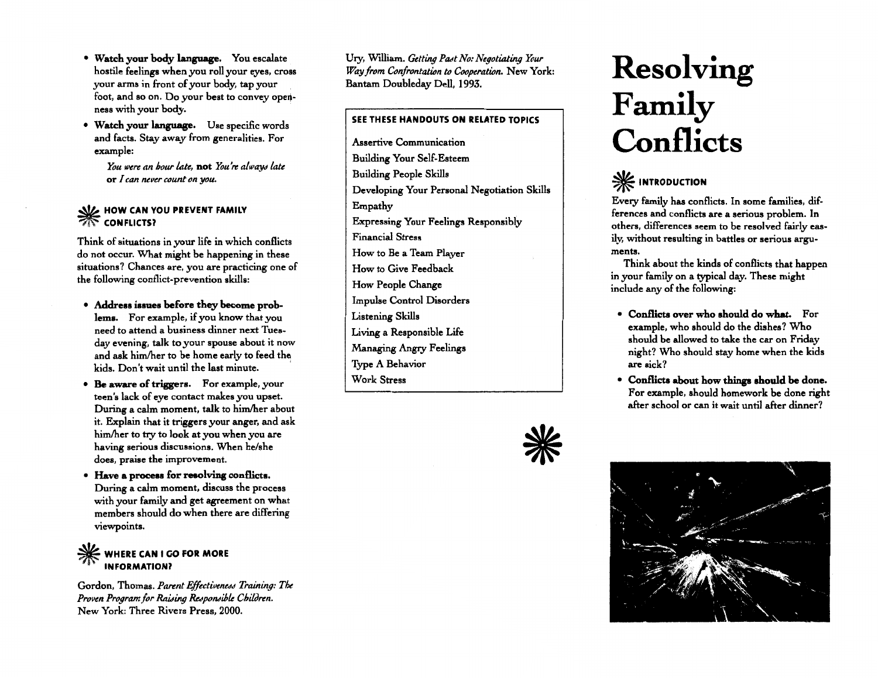- Watch your body language. You escalate hostile feelings when you roll your eyes, cross your arms in front of your body, tap your foot, and so on. Do your best to convey openness with your body.
- Watch your language. Use specific words and facts. Stay away from generalities. For example:

*You were an bour late, not You're always late* or *I can never count on you.* 

## **WE HOW CAN YOU PREVENT FAMILY**<br>K CONFLICTS?

Think of situations in your life in which conflicts do not occur. What might be happening in these situations? Chances are, you are practicing one of the following conflict-prevention skills:

- Address issues before they become problems. For example, if you know that you need to attend a business dinner next Tuesday evening, talk toyour spouse about it now and ask him/her to be home early to feed the kids. Don't wait until the last minute. '
- Be aware of triggers. For example, your teen's lack of eye contact makes you upset. During a calm moment, talk to him/her about it. Explain that it triggers your anger, and ask him/her to try to look at you when you are having serious discussions. When he/she does, praise the improvement.
- Have a process for resolving conflicts. During a calm moment, discuss the process with your family and get agreement on what members should do when there are differing viewpoints.

## WHERE CAN I GO FOR MORE . INFORMATION?

Gordon, Thomas. Parent Effectiveness Training: The **Proven Program for Raising Responsible Children.** New York: Three Rivers Press, 2000.

Ury, William. Getting Past No: Negotiating Your *Way from Confrontation to Cooperation.* New York: Bantam Doubleday Dell, 1993.

### SEE THESE HANDOUTS ON RELATED TOPICS

Assertive Communication Building Your Self-Esteem Building People Skills Developing Your Personal Negotiation Skills Empathy Expressing Your Feelings Responsibly Financial Stress How to Be a Team Player How to Give Feedback How People Change Impulse Control Disorders Listening Skills Living a Responsible Life Managing Angry Feelings Type A Behavior Work Stress



# **Resolving Fam.ily Conflicts**

## **SE INTRODUCTION**

Every family has conflicts. In some families, differences and conflicts are a serious problem. In others, differences seem to be resolved fairly easily, without resulting in battles or serious arguments.

Think about the kinds of conflicts that happen in your family on a typical day. These might include any of the following:

- Conflicts over who should do what. For example, who should do the dishes? Who should be allowed to take the car on Friday night? Who should stay home when the kids are sick?
- Conflicts about how things should be done. For example, should homework be done right after school or can it wait until after dinner?